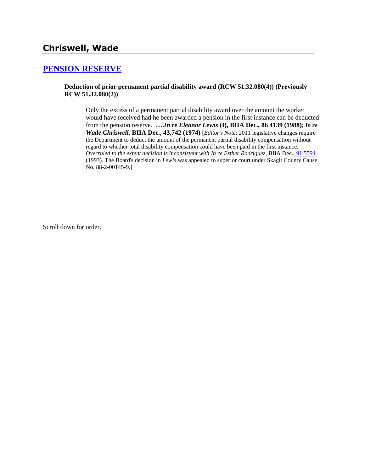# **Chriswell, Wade**

## **[PENSION RESERVE](http://www.biia.wa.gov/SDSubjectIndex.html#PENSION_RESERVE)**

#### **Deduction of prior permanent partial disability award (RCW 51.32.080(4)) (Previously RCW 51.32.080(2))**

Only the excess of a permanent partial disability award over the amount the worker would have received had he been awarded a pension in the first instance can be deducted from the pension reserve. **….***In re Eleanor Lewis* **(I), BIIA Dec., 86 4139 (1988);** *In re Wade Chriswell***, BIIA Dec., 43,742 (1974)** [*Editor's Note*: 2011 legislative changes require the Department to deduct the amount of the permanent partial disability compensation without regard to whether total disability compensation could have been paid in the first instance. *Overruled to the extent decision is inconsistent with In re Esther Rodriguez*, BIIA Dec., [91 5594](http://www.biia.wa.gov/significantdecisions/915594.htm) (1993). The Board's decision in *Lewis* was appealed to superior court under Skagit County Cause No. 88-2-00145-9.]

Scroll down for order.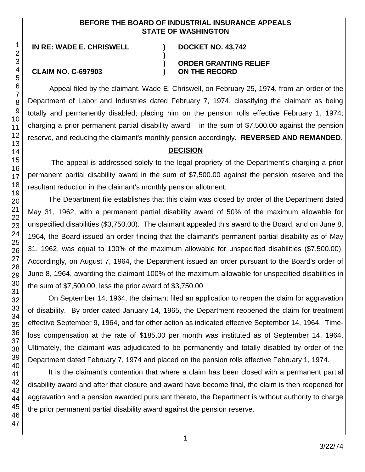### **BEFORE THE BOARD OF INDUSTRIAL INSURANCE APPEALS STATE OF WASHINGTON**

**)**

**) )**

**IN RE: WADE E. CHRISWELL ) DOCKET NO. 43,742**

#### **CLAIM NO. C-697903**

### **ORDER GRANTING RELIEF ON THE RECORD**

Appeal filed by the claimant, Wade E. Chriswell, on February 25, 1974, from an order of the Department of Labor and Industries dated February 7, 1974, classifying the claimant as being totally and permanently disabled; placing him on the pension rolls effective February 1, 1974; charging a prior permanent partial disability award in the sum of \$7,500.00 against the pension reserve, and reducing the claimant's monthly pension accordingly. **REVERSED AND REMANDED**.

# **DECISION**

The appeal is addressed solely to the legal propriety of the Department's charging a prior permanent partial disability award in the sum of \$7,500.00 against the pension reserve and the resultant reduction in the claimant's monthly pension allotment.

The Department file establishes that this claim was closed by order of the Department dated May 31, 1962, with a permanent partial disability award of 50% of the maximum allowable for unspecified disabilities (\$3,750.00). The claimant appealed this award to the Board, and on June 8, 1964, the Board issued an order finding that the claimant's permanent partial disability as of May 31, 1962, was equal to 100% of the maximum allowable for unspecified disabilities (\$7,500.00). Accordingly, on August 7, 1964, the Department issued an order pursuant to the Board's order of June 8, 1964, awarding the claimant 100% of the maximum allowable for unspecified disabilities in the sum of \$7,500.00, less the prior award of \$3,750.00

On September 14, 1964, the claimant filed an application to reopen the claim for aggravation of disability. By order dated January 14, 1965, the Department reopened the claim for treatment effective September 9, 1964, and for other action as indicated effective September 14, 1964. Timeloss compensation at the rate of \$185.00 per month was instituted as of September 14, 1964. Ultimately, the claimant was adjudicated to be permanently and totally disabled by order of the Department dated February 7, 1974 and placed on the pension rolls effective February 1, 1974.

It is the claimant's contention that where a claim has been closed with a permanent partial disability award and after that closure and award have become final, the claim is then reopened for aggravation and a pension awarded pursuant thereto, the Department is without authority to charge the prior permanent partial disability award against the pension reserve.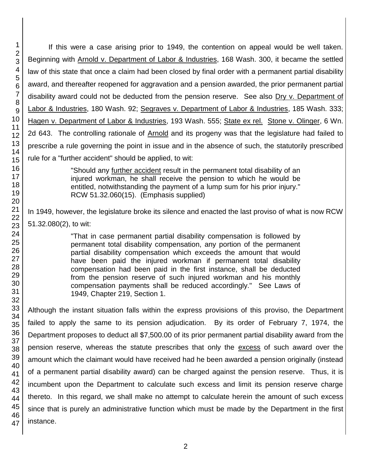If this were a case arising prior to 1949, the contention on appeal would be well taken. Beginning with Arnold v. Department of Labor & Industries, 168 Wash. 300, it became the settled law of this state that once a claim had been closed by final order with a permanent partial disability award, and thereafter reopened for aggravation and a pension awarded, the prior permanent partial disability award could not be deducted from the pension reserve. See also Dry v. Department of Labor & Industries, 180 Wash. 92; Segraves v. Department of Labor & Industries, 185 Wash. 333; Hagen v. Department of Labor & Industries, 193 Wash. 555; State ex rel. Stone v. Olinger, 6 Wn. 2d 643. The controlling rationale of Arnold and its progeny was that the legislature had failed to prescribe a rule governing the point in issue and in the absence of such, the statutorily prescribed rule for a "further accident" should be applied, to wit:

> "Should any further accident result in the permanent total disability of an injured workman, he shall receive the pension to which he would be entitled, notwithstanding the payment of a lump sum for his prior injury." RCW 51.32.060(15). (Emphasis supplied)

In 1949, however, the legislature broke its silence and enacted the last proviso of what is now RCW 51.32.080(2), to wit:

> "That in case permanent partial disability compensation is followed by permanent total disability compensation, any portion of the permanent partial disability compensation which exceeds the amount that would have been paid the injured workman if permanent total disability compensation had been paid in the first instance, shall be deducted from the pension reserve of such injured workman and his monthly compensation payments shall be reduced accordingly." See Laws of 1949, Chapter 219, Section 1.

Although the instant situation falls within the express provisions of this proviso, the Department failed to apply the same to its pension adjudication. By its order of February 7, 1974, the Department proposes to deduct all \$7,500.00 of its prior permanent partial disability award from the pension reserve, whereas the statute prescribes that only the excess of such award over the amount which the claimant would have received had he been awarded a pension originally (instead of a permanent partial disability award) can be charged against the pension reserve. Thus, it is incumbent upon the Department to calculate such excess and limit its pension reserve charge thereto. In this regard, we shall make no attempt to calculate herein the amount of such excess since that is purely an administrative function which must be made by the Department in the first instance.

1 2